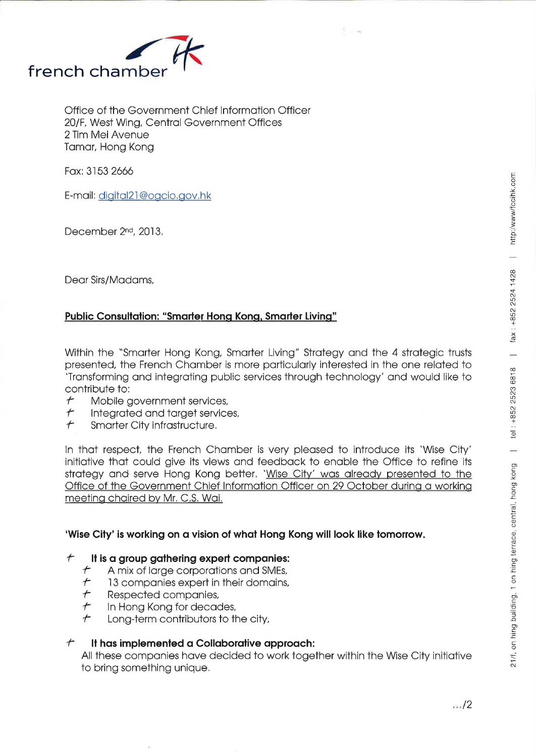

Office of the Government Chief Information Officer 20/F, West Wing, Central Government Offices 2 Tim Mei Avenue Tamar, Hong Kong

Fax: 3153 2666

E-mail: digital21 @ogcio.gov.hk

December 2nd, 2013.

Dear Sirs/Madams,

# **Public Consultation: "Smarter Hong Kong. Smarter living"**

Within the "Smarter Hong Kong, Smarter Living" Strategy and the 4 strategic trusts presented, the French Chamber is more particularly interested in the one related to 'Transforming and integrating public services through technology' and would like to contribute to:

- *1-* Mobile government services,
- Integrated and target services,
- *1-* Smarter City infrastructure.

In that respect, the French Chamber is very pleased to introduce its 'Wise City' initiative that could give its views and feedback to enable the Office to refine its strategy and serve Hong Kong better. 'Wise City' was already presented to the Office of the Government Chief Information Officer on 29 October during a working meeting chaired by Mr. C.S. Wai.

# **'Wise City' is working on a vision of what Hong Kong will look like tomorrow.**

#### *1-* **It is a group gathering expert companies:**

- *1-* A mix of large corporations and SMEs,
- *1-* 13 companies expert in their domains,
- *1-* Respected companies,
- *1-* In Hong Kong for decades,
- *1-* Long-term contributors to the city,

# *1-* It **has implemented a Collaborative approach:**

All these companies have decided to work together within the Wise City initiative to bring something unique.